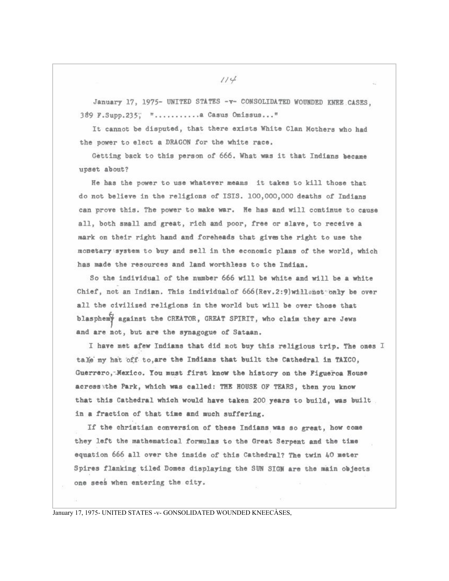January 17, 1975- UNITED STATES -v- CONSOLIDATED WOUNDED KNEE CASES, 389 F. Supp. 235; "........... Casus Omissus..."

It cannot be disputed, that there exists White Clan Mothers who had the power to elect a DRAGON for the white race.

Getting back to this person of 666. What was it that Indians became upset about?

He has the power to use whatever means it takes to kill those that do not believe in the religions of ISIS. 100,000,000 deaths of Indians can prove this. The power to make war. He has and will continue to cause all, both small and great, rich and poor, free or slave, to receive a mark on their right hand and foreheads that gives the right to use the monetary system to buy and sell in the economic plans of the world, which has made the resources and land worthless to the Indian.

So the individual of the number 666 will be white and will be a white Chief, not an Indian. This individual of 666 (Rev. 2:9) will snot only be over all the civilized religions in the world but will be over those that blasphemy against the CREATOR, GREAT SPIRIT, who claim they are Jews and are not, but are the synagogue of Sataan.

I have met afew Indians that did not buy this religious trip. The ones I tale my hat off to, are the Indians that built the Cathedral in TAXCO, Guerrero, Mexico. You must first know the history on the Figueroa House acrossathe Park, which was called: THE HOUSE OF TEARS, then you know that this Cathedral which would have taken 200 years to build, was built in a fraction of that time and much suffering.

If the christian conversion of these Indians was so great, how come they left the mathematical formulas to the Great Serpent and the time equation 666 all over the inside of this Cathedral? The twin 40 meter Spires flanking tiled Domes displaying the SUN SIGN are the main objects one sees when entering the city.

January 17, 1975- UNITED STATES -v- GONSOLIDATED WOUNDED KNEECASES,

 $114$